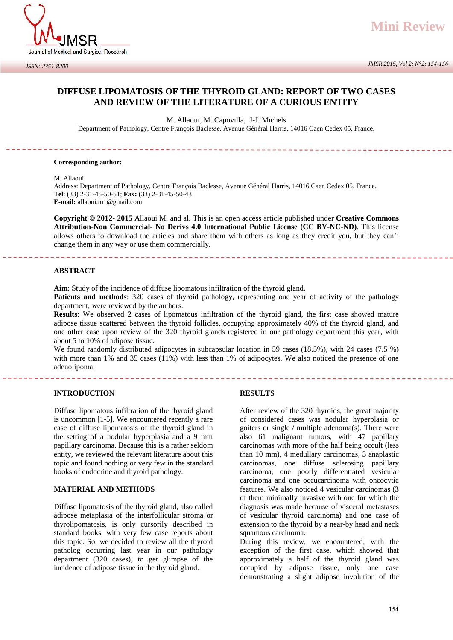

## **DIFFUSE LIPOMATOSIS OF THE THYROID GLAND: REPORT OF TWO CASES AND REVIEW OF THE LITERATURE OF A CURIOUS ENTITY**

M. Allaouı, M. Capovılla, J-J. Mıchels

Department of Pathology, Centre François Baclesse, Avenue Général Harris, 14016 Caen Cedex 05, France.

#### **Corresponding author:**

M. Allaoui

Address: Department of Pathology, Centre François Baclesse, Avenue Général Harris, 14016 Caen Cedex 05, France. **Tel**: (33) 2-31-45-50-51; **Fax:** (33) 2-31-45-50-43 **E-mail:** allaoui.m1@gmail.com

**Copyright © 2012- 2015** Allaoui M. and al. This is an open access article published under **Creative Commons Attribution-Non Commercial- No Derivs 4.0 International Public License (CC BY-NC-ND)**. This license allows others to download the articles and share them with others as long as they credit you, but they can't change them in any way or use them commercially.

## **ABSTRACT**

**Aim**: Study of the incidence of diffuse lipomatous infiltration of the thyroid gland.

**Patients and methods**: 320 cases of thyroid pathology, representing one year of activity of the pathology department, were reviewed by the authors.

**Results**: We observed 2 cases of lipomatous infiltration of the thyroid gland, the first case showed mature adipose tissue scattered between the thyroid follicles, occupying approximately 40% of the thyroid gland, and one other case upon review of the 320 thyroid glands registered in our pathology department this year, with about 5 to 10% of adipose tissue.

We found randomly distributed adipocytes in subcapsular location in 59 cases (18.5%), with 24 cases (7.5 %) with more than 1% and 35 cases (11%) with less than 1% of adipocytes. We also noticed the presence of one adenolipoma.

## **INTRODUCTION**

Diffuse lipomatous infiltration of the thyroid gland is uncommon [1-5]. We encountered recently a rare case of diffuse lipomatosis of the thyroid gland in the setting of a nodular hyperplasia and a 9 mm papillary carcinoma. Because this is a rather seldom entity, we reviewed the relevant literature about this topic and found nothing or very few in the standard books of endocrine and thyroid pathology.

#### **MATERIAL AND METHODS**

Diffuse lipomatosis of the thyroid gland, also called adipose metaplasia of the interfollicular stroma or thyrolipomatosis, is only cursorily described in standard books, with very few case reports about this topic. So, we decided to review all the thyroid patholog occurring last year in our pathology department (320 cases), to get glimpse of the incidence of adipose tissue in the thyroid gland.

#### **RESULTS**

After review of the 320 thyroids, the great majority of considered cases was nodular hyperplasia or goiters or single / multiple adenoma(s). There were also 61 malignant tumors, with 47 papillary carcinomas with more of the half being occult (less than 10 mm), 4 medullary carcinomas, 3 anaplastic carcinomas, one diffuse sclerosing papillary carcinoma, one poorly differentiated vesicular carcinoma and one occucarcinoma with oncocytic features. We also noticed 4 vesicular carcinomas (3 of them minimally invasive with one for which the diagnosis was made because of visceral metastases of vesicular thyroid carcinoma) and one case of extension to the thyroid by a near-by head and neck squamous carcinoma.

During this review, we encountered, with the exception of the first case, which showed that approximately a half of the thyroid gland was occupied by adipose tissue, only one case demonstrating a slight adipose involution of the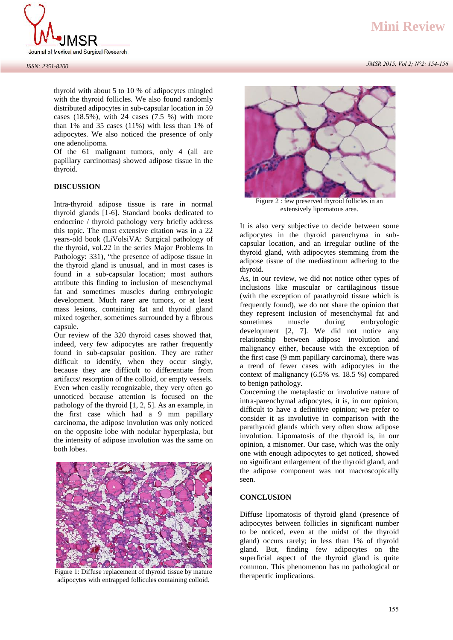

thyroid with about 5 to 10 % of adipocytes mingled with the thyroid follicles. We also found randomly distributed adipocytes in sub-capsular location in 59 cases (18.5%), with 24 cases (7.5 %) with more than 1% and 35 cases (11%) with less than 1% of adipocytes. We also noticed the presence of only one adenolipoma.

Of the 61 malignant tumors, only 4 (all are papillary carcinomas) showed adipose tissue in the thyroid.

## **DISCUSSION**

Intra-thyroid adipose tissue is rare in normal thyroid glands [1-6]. Standard books dedicated to endocrine / thyroid pathology very briefly address this topic. The most extensive citation was in a 22 years-old book (LiVolsiVA: Surgical pathology of the thyroid, vol.22 in the series Major Problems In Pathology: 331), "the presence of adipose tissue in the thyroid gland is unusual, and in most cases is found in a sub-capsular location; most authors attribute this finding to inclusion of mesenchymal fat and sometimes muscles during embryologic development. Much rarer are tumors, or at least mass lesions, containing fat and thyroid gland mixed together, sometimes surrounded by a fibrous capsule.

Our review of the 320 thyroid cases showed that, indeed, very few adipocytes are rather frequently found in sub-capsular position. They are rather difficult to identify, when they occur singly, because they are difficult to differentiate from artifacts/ resorption of the colloid, or empty vessels. Even when easily recognizable, they very often go unnoticed because attention is focused on the pathology of the thyroid [1, 2, 5]. As an example, in the first case which had a 9 mm papillary carcinoma, the adipose involution was only noticed on the opposite lobe with nodular hyperplasia, but the intensity of adipose involution was the same on both lobes.



Figure 1: Diffuse replacement of thyroid tissue by mature adipocytes with entrapped follicules containing colloid.

# **Mini Review**

 *JMSR 2015, Vol 2; N°2: 154-156*



Figure 2 : few preserved thyroid follicles in an extensively lipomatous area.

It is also very subjective to decide between some adipocytes in the thyroid parenchyma in sub capsular location, and an irregular outline of the thyroid gland, with adipocytes stemming from the adipose tissue of the mediastinum adhering to the thyroid.

As, in our review, we did not notice other types of inclusions like muscular or cartilaginous tissue (with the exception of parathyroid tissue which is frequently found), we do not share the opinion that they represent inclusion of mesenchymal fat and sometimes muscle during embryologic development [2, 7]. We did not notice any relationship between adipose involution and malignancy either, because with the exception of the first case (9 mm papillary carcinoma), there was a trend of fewer cases with adipocytes in the context of malignancy (6.5% vs. 18.5 %) compared to benign pathology.

Concerning the metaplastic or involutive nature of intra-parenchymal adipocytes, it is, in our opinion, difficult to have a definitive opinion; we prefer to consider it as involutive in comparison with the parathyroid glands which very often show adipose involution. Lipomatosis of the thyroid is, in our opinion, a misnomer. Our case, which was the only one with enough adipocytes to get noticed, showed no significant enlargement of the thyroid gland, and the adipose component was not macroscopically seen.

## **CONCLUSION**

Diffuse lipomatosis of thyroid gland (presence of adipocytes between follicles in significant number to be noticed, even at the midst of the thyroid gland) occurs rarely; in less than 1% of thyroid gland. But, finding few adipocytes on the superficial aspect of the thyroid gland is quite common. This phenomenon has no pathological or therapeutic implications.